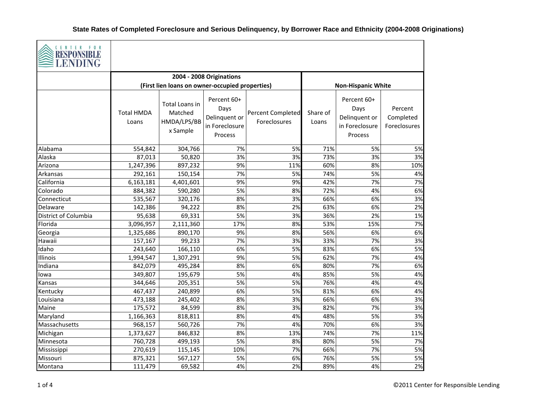

| $\geq$ T FNDINC<br><b>LENDING</b> |                            |                                                      |                                                                          |                                          |                   |                                                                   |                                      |
|-----------------------------------|----------------------------|------------------------------------------------------|--------------------------------------------------------------------------|------------------------------------------|-------------------|-------------------------------------------------------------------|--------------------------------------|
|                                   |                            |                                                      | 2004 - 2008 Originations                                                 |                                          |                   |                                                                   |                                      |
|                                   |                            | (First lien loans on owner-occupied properties)      |                                                                          |                                          |                   | <b>Non-Hispanic White</b>                                         |                                      |
|                                   | <b>Total HMDA</b><br>Loans | Total Loans in<br>Matched<br>HMDA/LPS/BB<br>x Sample | Percent 60+<br>Days<br>Delinquent or<br>in Foreclosure<br><b>Process</b> | <b>Percent Completed</b><br>Foreclosures | Share of<br>Loans | Percent 60+<br>Days<br>Delinquent or<br>in Foreclosure<br>Process | Percent<br>Completed<br>Foreclosures |
| Alabama                           | 554,842                    | 304,766                                              | 7%                                                                       | 5%                                       | 71%               | 5%                                                                | 5%                                   |
| Alaska                            | 87,013                     | 50,820                                               | 3%                                                                       | 3%                                       | 73%               | 3%                                                                | 3%                                   |
| Arizona                           | 1,247,396                  | 897,232                                              | 9%                                                                       | 11%                                      | 60%               | 8%                                                                | 10%                                  |
| Arkansas                          | 292,161                    | 150,154                                              | 7%                                                                       | 5%                                       | 74%               | 5%                                                                | 4%                                   |
| California                        | 6,163,181                  | 4,401,601                                            | 9%                                                                       | 9%                                       | 42%               | 7%                                                                | 7%                                   |
| Colorado                          | 884,382                    | 590,280                                              | 5%                                                                       | 8%                                       | 72%               | 4%                                                                | 6%                                   |
| Connecticut                       | 535,567                    | 320,176                                              | 8%                                                                       | 3%                                       | 66%               | 6%                                                                | 3%                                   |
| Delaware                          | 142,386                    | 94,222                                               | 8%                                                                       | 2%                                       | 63%               | 6%                                                                | 2%                                   |
| District of Columbia              | 95,638                     | 69,331                                               | 5%                                                                       | 3%                                       | 36%               | 2%                                                                | 1%                                   |
| Florida                           | 3,096,957                  | 2,111,360                                            | 17%                                                                      | 8%                                       | 53%               | 15%                                                               | 7%                                   |
| Georgia                           | 1,325,686                  | 890,170                                              | 9%                                                                       | 8%                                       | 56%               | 6%                                                                | 6%                                   |
| Hawaii                            | 157,167                    | 99,233                                               | 7%                                                                       | 3%                                       | 33%               | 7%                                                                | 3%                                   |
| Idaho                             | 243,640                    | 166,110                                              | 6%                                                                       | 5%                                       | 83%               | 6%                                                                | 5%                                   |
| Illinois                          | 1,994,547                  | 1,307,291                                            | 9%                                                                       | 5%                                       | 62%               | 7%                                                                | 4%                                   |
| Indiana                           | 842,079                    | 495,284                                              | 8%                                                                       | 6%                                       | 80%               | 7%                                                                | 6%                                   |
| lowa                              | 349,807                    | 195,679                                              | 5%                                                                       | 4%                                       | 85%               | 5%                                                                | 4%                                   |
| Kansas                            | 344,646                    | 205,351                                              | 5%                                                                       | 5%                                       | 76%               | 4%                                                                | 4%                                   |
| Kentucky                          | 467,437                    | 240,899                                              | 6%                                                                       | 5%                                       | 81%               | 6%                                                                | 4%                                   |
| Louisiana                         | 473,188                    | 245,402                                              | 8%                                                                       | 3%                                       | 66%               | 6%                                                                | 3%                                   |
| Maine                             | 175,572                    | 84,599                                               | 8%                                                                       | 3%                                       | 82%               | 7%                                                                | 3%                                   |
| Maryland                          | 1,166,363                  | 818,811                                              | 8%                                                                       | 4%                                       | 48%               | 5%                                                                | 3%                                   |
| Massachusetts                     | 968,157                    | 560,726                                              | 7%                                                                       | 4%                                       | 70%               | 6%                                                                | 3%                                   |
| Michigan                          | 1,373,627                  | 846,832                                              | 8%                                                                       | 13%                                      | 74%               | 7%                                                                | 11%                                  |
| Minnesota                         | 760,728                    | 499,193                                              | 5%                                                                       | 8%                                       | 80%               | 5%                                                                | 7%                                   |
| Mississippi                       | 270,619                    | 115,145                                              | 10%                                                                      | 7%                                       | 66%               | 7%                                                                | 5%                                   |
| Missouri                          | 875,321                    | 567,127                                              | 5%                                                                       | 6%                                       | 76%               | 5%                                                                | 5%                                   |
| Montana                           | 111,479                    | 69,582                                               | 4%                                                                       | 2%                                       | 89%               | 4%                                                                | 2%                                   |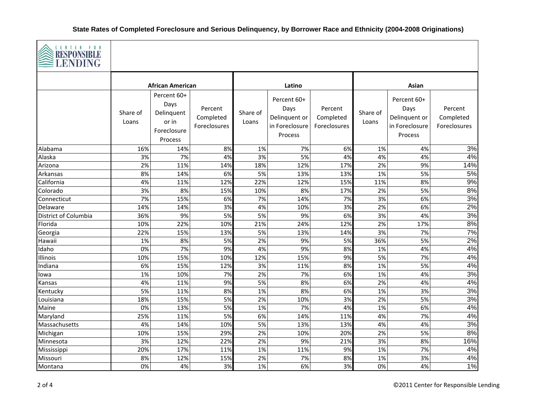

| LENDING              |                         |                                                                      |                                      |                   |                                                                   |                                      |                   |                                                                   |                                      |
|----------------------|-------------------------|----------------------------------------------------------------------|--------------------------------------|-------------------|-------------------------------------------------------------------|--------------------------------------|-------------------|-------------------------------------------------------------------|--------------------------------------|
|                      | <b>African American</b> |                                                                      |                                      | Latino            |                                                                   |                                      | Asian             |                                                                   |                                      |
|                      | Share of<br>Loans       | Percent 60+<br>Days<br>Delinquent<br>or in<br>Foreclosure<br>Process | Percent<br>Completed<br>Foreclosures | Share of<br>Loans | Percent 60+<br>Days<br>Delinquent or<br>in Foreclosure<br>Process | Percent<br>Completed<br>Foreclosures | Share of<br>Loans | Percent 60+<br>Days<br>Delinquent or<br>in Foreclosure<br>Process | Percent<br>Completed<br>Foreclosures |
| Alabama              | 16%                     | 14%                                                                  | 8%                                   | 1%                | 7%                                                                | 6%                                   | 1%                | 4%                                                                | 3%                                   |
| Alaska               | 3%                      | 7%                                                                   | 4%                                   | 3%                | 5%                                                                | 4%                                   | 4%                | 4%                                                                | 4%                                   |
| Arizona              | 2%                      | 11%                                                                  | 14%                                  | 18%               | 12%                                                               | 17%                                  | 2%                | 9%                                                                | 14%                                  |
| Arkansas             | 8%                      | 14%                                                                  | 6%                                   | 5%                | 13%                                                               | 13%                                  | 1%                | 5%                                                                | 5%                                   |
| California           | 4%                      | 11%                                                                  | 12%                                  | 22%               | 12%                                                               | 15%                                  | 11%               | 8%                                                                | 9%                                   |
| Colorado             | 3%                      | 8%                                                                   | 15%                                  | 10%               | 8%                                                                | 17%                                  | 2%                | 5%                                                                | 8%                                   |
| Connecticut          | 7%                      | 15%                                                                  | 6%                                   | 7%                | 14%                                                               | 7%                                   | 3%                | 6%                                                                | 3%                                   |
| Delaware             | 14%                     | 14%                                                                  | 3%                                   | 4%                | 10%                                                               | 3%                                   | 2%                | 6%                                                                | 2%                                   |
| District of Columbia | 36%                     | 9%                                                                   | 5%                                   | 5%                | 9%                                                                | 6%                                   | 3%                | 4%                                                                | 3%                                   |
| Florida              | 10%                     | 22%                                                                  | 10%                                  | 21%               | 24%                                                               | 12%                                  | 2%                | 17%                                                               | 8%                                   |
| Georgia              | 22%                     | 15%                                                                  | 13%                                  | 5%                | 13%                                                               | 14%                                  | 3%                | 7%                                                                | 7%                                   |
| Hawaii               | 1%                      | 8%                                                                   | 5%                                   | 2%                | 9%                                                                | 5%                                   | 36%               | 5%                                                                | 2%                                   |
| Idaho                | 0%                      | 7%                                                                   | 9%                                   | 4%                | 9%                                                                | 8%                                   | 1%                | 4%                                                                | 4%                                   |
| Illinois             | 10%                     | 15%                                                                  | 10%                                  | 12%               | 15%                                                               | 9%                                   | 5%                | 7%                                                                | 4%                                   |
| Indiana              | 6%                      | 15%                                                                  | 12%                                  | 3%                | 11%                                                               | 8%                                   | 1%                | 5%                                                                | 4%                                   |
| lowa                 | 1%                      | 10%                                                                  | 7%                                   | 2%                | 7%                                                                | 6%                                   | 1%                | 4%                                                                | 3%                                   |
| Kansas               | 4%                      | 11%                                                                  | 9%                                   | 5%                | 8%                                                                | 6%                                   | 2%                | 4%                                                                | 4%                                   |
| Kentucky             | 5%                      | 11%                                                                  | 8%                                   | 1%                | 8%                                                                | 6%                                   | 1%                | 3%                                                                | 3%                                   |
| Louisiana            | 18%                     | 15%                                                                  | 5%                                   | 2%                | 10%                                                               | 3%                                   | 2%                | 5%                                                                | 3%                                   |
| Maine                | 0%                      | 13%                                                                  | 5%                                   | 1%                | 7%                                                                | 4%                                   | 1%                | 6%                                                                | 4%                                   |
| Maryland             | 25%                     | 11%                                                                  | 5%                                   | 6%                | 14%                                                               | 11%                                  | 4%                | 7%                                                                | 4%                                   |
| Massachusetts        | 4%                      | 14%                                                                  | 10%                                  | 5%                | 13%                                                               | 13%                                  | 4%                | 4%                                                                | 3%                                   |
| Michigan             | 10%                     | 15%                                                                  | 29%                                  | 2%                | 10%                                                               | 20%                                  | 2%                | 5%                                                                | 8%                                   |
| Minnesota            | 3%                      | 12%                                                                  | 22%                                  | 2%                | 9%                                                                | 21%                                  | 3%                | 8%                                                                | 16%                                  |
| Mississippi          | 20%                     | 17%                                                                  | 11%                                  | 1%                | 11%                                                               | 9%                                   | 1%                | 7%                                                                | 4%                                   |
| Missouri             | 8%                      | 12%                                                                  | 15%                                  | 2%                | 7%                                                                | 8%                                   | 1%                | 3%                                                                | 4%                                   |
| Montana              | 0%                      | 4%                                                                   | 3%                                   | 1%                | 6%                                                                | 3%                                   | 0%                | 4%                                                                | 1%                                   |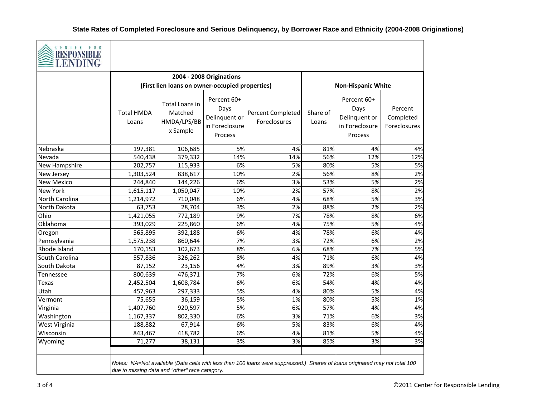

| <b>EXAMPLE</b><br><b>LENDING</b> |                                                |                                                      |                                                                   |                                                                                                                             |                   |                                                                   |                                      |
|----------------------------------|------------------------------------------------|------------------------------------------------------|-------------------------------------------------------------------|-----------------------------------------------------------------------------------------------------------------------------|-------------------|-------------------------------------------------------------------|--------------------------------------|
|                                  |                                                |                                                      | 2004 - 2008 Originations                                          |                                                                                                                             |                   |                                                                   |                                      |
|                                  |                                                | (First lien loans on owner-occupied properties)      |                                                                   |                                                                                                                             |                   | <b>Non-Hispanic White</b>                                         |                                      |
|                                  | <b>Total HMDA</b><br>Loans                     | Total Loans in<br>Matched<br>HMDA/LPS/BB<br>x Sample | Percent 60+<br>Days<br>Delinquent or<br>in Foreclosure<br>Process | Percent Completed<br>Foreclosures                                                                                           | Share of<br>Loans | Percent 60+<br>Days<br>Delinquent or<br>in Foreclosure<br>Process | Percent<br>Completed<br>Foreclosures |
| Nebraska                         | 197,381                                        | 106,685                                              | 5%                                                                | 4%                                                                                                                          | 81%               | 4%                                                                | 4%                                   |
| Nevada                           | 540,438                                        | 379,332                                              | 14%                                                               | 14%                                                                                                                         | 56%               | 12%                                                               | 12%                                  |
| New Hampshire                    | 202,757                                        | 115,933                                              | 6%                                                                | 5%                                                                                                                          | 80%               | 5%                                                                | 5%                                   |
| New Jersey                       | 1,303,524                                      | 838,617                                              | 10%                                                               | 2%                                                                                                                          | 56%               | 8%                                                                | 2%                                   |
| <b>New Mexico</b>                | 244,840                                        | 144,226                                              | 6%                                                                | 3%                                                                                                                          | 53%               | 5%                                                                | 2%                                   |
| <b>New York</b>                  | 1,615,117                                      | 1,050,047                                            | 10%                                                               | 2%                                                                                                                          | 57%               | 8%                                                                | 2%                                   |
| North Carolina                   | 1,214,972                                      | 710,048                                              | 6%                                                                | 4%                                                                                                                          | 68%               | 5%                                                                | 3%                                   |
| North Dakota                     | 63,753                                         | 28,704                                               | 3%                                                                | 2%                                                                                                                          | 88%               | 2%                                                                | 2%                                   |
| Ohio                             | 1,421,055                                      | 772,189                                              | 9%                                                                | 7%                                                                                                                          | 78%               | 8%                                                                | 6%                                   |
| Oklahoma                         | 393,029                                        | 225,860                                              | 6%                                                                | 4%                                                                                                                          | 75%               | 5%                                                                | 4%                                   |
| Oregon                           | 565,895                                        | 392,188                                              | 6%                                                                | 4%                                                                                                                          | 78%               | 6%                                                                | 4%                                   |
| Pennsylvania                     | 1,575,238                                      | 860,644                                              | 7%                                                                | 3%                                                                                                                          | 72%               | 6%                                                                | 2%                                   |
| Rhode Island                     | 170,153                                        | 102,673                                              | 8%                                                                | 6%                                                                                                                          | 68%               | 7%                                                                | 5%                                   |
| South Carolina                   | 557,836                                        | 326,262                                              | 8%                                                                | 4%                                                                                                                          | 71%               | 6%                                                                | 4%                                   |
| South Dakota                     | 87,152                                         | 23,156                                               | 4%                                                                | 3%                                                                                                                          | 89%               | 3%                                                                | 3%                                   |
| Tennessee                        | 800,639                                        | 476,371                                              | 7%                                                                | 6%                                                                                                                          | 72%               | 6%                                                                | 5%                                   |
| Texas                            | 2,452,504                                      | 1,608,784                                            | 6%                                                                | 6%                                                                                                                          | 54%               | 4%                                                                | 4%                                   |
| Utah                             | 457,963                                        | 297,333                                              | 5%                                                                | 4%                                                                                                                          | 80%               | 5%                                                                | 4%                                   |
| Vermont                          | 75,655                                         | 36,159                                               | 5%                                                                | 1%                                                                                                                          | 80%               | 5%                                                                | 1%                                   |
| Virginia                         | 1,407,760                                      | 920,597                                              | 5%                                                                | 6%                                                                                                                          | 57%               | 4%                                                                | 4%                                   |
| Washington                       | 1,167,337                                      | 802,330                                              | 6%                                                                | 3%                                                                                                                          | 71%               | 6%                                                                | 3%                                   |
| West Virginia                    | 188,882                                        | 67,914                                               | 6%                                                                | 5%                                                                                                                          | 83%               | 6%                                                                | 4%                                   |
| Wisconsin                        | 843,467                                        | 418,782                                              | 6%                                                                | 4%                                                                                                                          | 81%               | 5%                                                                | 4%                                   |
| Wyoming                          | 71,277                                         | 38,131                                               | 3%                                                                | 3%                                                                                                                          | 85%               | 3%                                                                | 3%                                   |
|                                  | due to missing data and "other" race category. |                                                      |                                                                   | Notes: NA=Not available (Data cells with less than 100 loans were suppressed.) Shares of loans originated may not total 100 |                   |                                                                   |                                      |